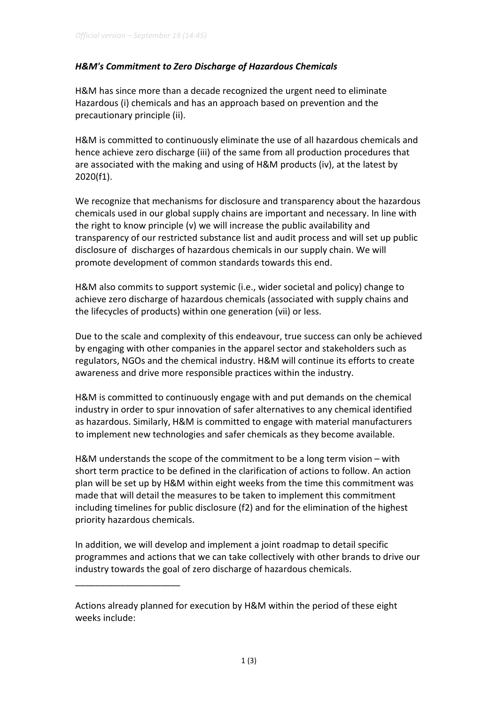## H&M's Commitment to Zero Discharge of Hazardous Chemicals

H&M has since more than a decade recognized the urgent need to eliminate Hazardous (i) chemicals and has an approach based on prevention and the precautionary principle (ii).

H&M is committed to continuously eliminate the use of all hazardous chemicals and hence achieve zero discharge (iii) of the same from all production procedures that are associated with the making and using of H&M products (iv), at the latest by 2020(f1).

We recognize that mechanisms for disclosure and transparency about the hazardous chemicals used in our global supply chains are important and necessary. In line with the right to know principle (v) we will increase the public availability and transparency of our restricted substance list and audit process and will set up public disclosure of discharges of hazardous chemicals in our supply chain. We will promote development of common standards towards this end.

H&M also commits to support systemic (i.e., wider societal and policy) change to achieve zero discharge of hazardous chemicals (associated with supply chains and the lifecycles of products) within one generation (vii) or less.

Due to the scale and complexity of this endeavour, true success can only be achieved by engaging with other companies in the apparel sector and stakeholders such as regulators, NGOs and the chemical industry. H&M will continue its efforts to create awareness and drive more responsible practices within the industry.

H&M is committed to continuously engage with and put demands on the chemical industry in order to spur innovation of safer alternatives to any chemical identified as hazardous. Similarly, H&M is committed to engage with material manufacturers to implement new technologies and safer chemicals as they become available.

H&M understands the scope of the commitment to be a long term vision – with short term practice to be defined in the clarification of actions to follow. An action plan will be set up by H&M within eight weeks from the time this commitment was made that will detail the measures to be taken to implement this commitment including timelines for public disclosure (f2) and for the elimination of the highest priority hazardous chemicals.

In addition, we will develop and implement a joint roadmap to detail specific programmes and actions that we can take collectively with other brands to drive our industry towards the goal of zero discharge of hazardous chemicals.

 $\overline{\phantom{a}}$  , where the contract of the contract of the contract of the contract of the contract of the contract of the contract of the contract of the contract of the contract of the contract of the contract of the contr

Actions already planned for execution by H&M within the period of these eight weeks include: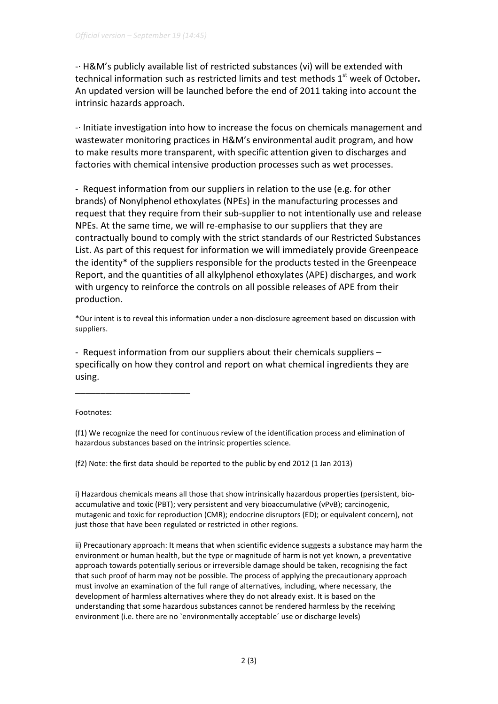-· H&M's publicly available list of restricted substances (vi) will be extended with technical information such as restricted limits and test methods  $1<sup>st</sup>$  week of October. An updated version will be launched before the end of 2011 taking into account the intrinsic hazards approach.

-· Initiate investigation into how to increase the focus on chemicals management and wastewater monitoring practices in H&M's environmental audit program, and how to make results more transparent, with specific attention given to discharges and factories with chemical intensive production processes such as wet processes.

- Request information from our suppliers in relation to the use (e.g. for other brands) of Nonylphenol ethoxylates (NPEs) in the manufacturing processes and request that they require from their sub-supplier to not intentionally use and release NPEs. At the same time, we will re-emphasise to our suppliers that they are contractually bound to comply with the strict standards of our Restricted Substances List. As part of this request for information we will immediately provide Greenpeace the identity\* of the suppliers responsible for the products tested in the Greenpeace Report, and the quantities of all alkylphenol ethoxylates (APE) discharges, and work with urgency to reinforce the controls on all possible releases of APE from their production.

\*Our intent is to reveal this information under a non-disclosure agreement based on discussion with suppliers.

- Request information from our suppliers about their chemicals suppliers – specifically on how they control and report on what chemical ingredients they are using.

Footnotes:

 $\overline{\phantom{a}}$  , where  $\overline{\phantom{a}}$  , where  $\overline{\phantom{a}}$  , where  $\overline{\phantom{a}}$  ,  $\overline{\phantom{a}}$  ,  $\overline{\phantom{a}}$  ,  $\overline{\phantom{a}}$  ,  $\overline{\phantom{a}}$  ,  $\overline{\phantom{a}}$  ,  $\overline{\phantom{a}}$  ,  $\overline{\phantom{a}}$  ,  $\overline{\phantom{a}}$  ,  $\overline{\phantom{a}}$  ,  $\overline{\phantom{a}}$  ,  $\overline{\phantom$ 

(f1) We recognize the need for continuous review of the identification process and elimination of hazardous substances based on the intrinsic properties science.

(f2) Note: the first data should be reported to the public by end 2012 (1 Jan 2013)

i) Hazardous chemicals means all those that show intrinsically hazardous properties (persistent, bioaccumulative and toxic (PBT); very persistent and very bioaccumulative (vPvB); carcinogenic, mutagenic and toxic for reproduction (CMR); endocrine disruptors (ED); or equivalent concern), not just those that have been regulated or restricted in other regions.

ii) Precautionary approach: It means that when scientific evidence suggests a substance may harm the environment or human health, but the type or magnitude of harm is not yet known, a preventative approach towards potentially serious or irreversible damage should be taken, recognising the fact that such proof of harm may not be possible. The process of applying the precautionary approach must involve an examination of the full range of alternatives, including, where necessary, the development of harmless alternatives where they do not already exist. It is based on the understanding that some hazardous substances cannot be rendered harmless by the receiving environment (i.e. there are no `environmentally acceptable´ use or discharge levels)